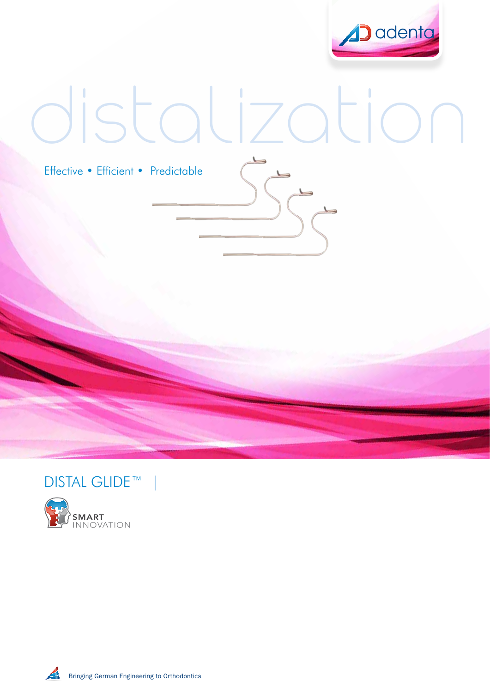

# distalization

Effective • Efficient • Predictable



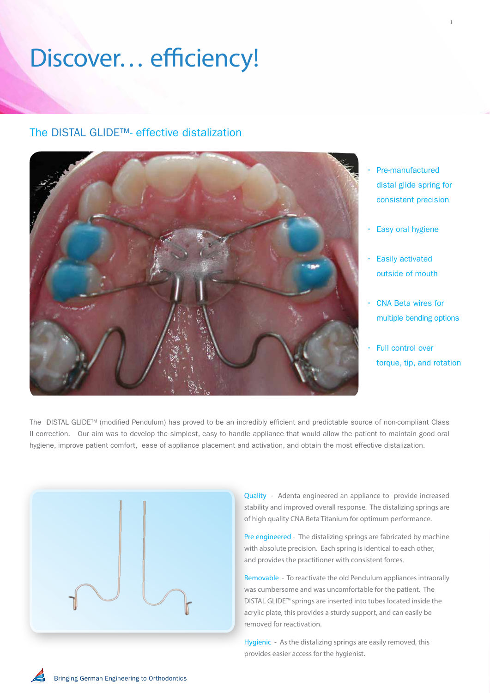# Discover… efficiency!

### The DISTAL GLIDE™- effective distalization

• Pre-manufactured distal glide spring for consistent precision

- Easy oral hygiene
- Easily activated outside of mouth
- CNA Beta wires for multiple bending options
- Full control over torque, tip, and rotation

The DISTAL GLIDE™ (modified Pendulum) has proved to be an incredibly efficient and predictable source of non-compliant Class II correction. Our aim was to develop the simplest, easy to handle appliance that would allow the patient to maintain good oral hygiene, improve patient comfort, ease of appliance placement and activation, and obtain the most effective distalization.

1 2



Quality - Adenta engineered an appliance to provide increased stability and improved overall response. The distalizing springs are of high quality CNA Beta Titanium for optimum performance.

Pre engineered - The distalizing springs are fabricated by machine with absolute precision. Each spring is identical to each other, and provides the practitioner with consistent forces.

Removable - To reactivate the old Pendulum appliances intraorally was cumbersome and was uncomfortable for the patient. The DISTAL GLIDE™ springs are inserted into tubes located inside the acrylic plate, this provides a sturdy support, and can easily be removed for reactivation.

Hygienic - As the distalizing springs are easily removed, this provides easier access for the hygienist.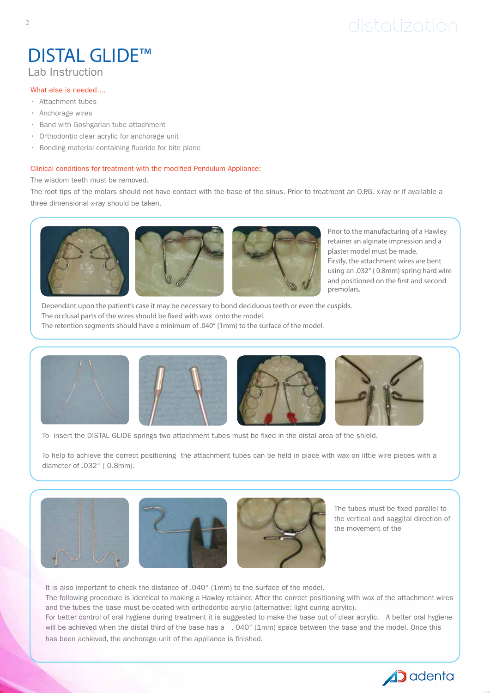# distalization

## DISTAL GLIDE™ Lab Instruction

#### What else is needed....

- Attachment tubes
- Anchorage wires
- Band with Goshgarian tube attachment
- Orthodontic clear acrylic for anchorage unit
- Bonding material containing fluoride for bite plane

#### Clinical conditions for treatment with the modified Pendulum Appliance:

The wisdom teeth must be removed.

The root tips of the molars should not have contact with the base of the sinus. Prior to treatment an O.P.G. x-ray or if available a three dimensional x-ray should be taken.



Prior to the manufacturing of a Hawley retainer an alginate impression and a plaster model must be made. Firstly, the attachment wires are bent using an .032" ( 0.8mm) spring hard wire and positioned on the first and second premolars.

Dependant upon the patient's case it may be necessary to bond deciduous teeth or even the cuspids. The occlusal parts of the wires should be fixed with wax onto the model. The retention segments should have a minimum of .040" (1mm) to the surface of the model.



To insert the DISTAL GLIDE springs two attachment tubes must be fixed in the distal area of the shield.

To help to achieve the correct positioning the attachment tubes can be held in place with wax on little wire pieces with a diameter of .032" ( 0.8mm).







The tubes must be fixed parallel to the vertical and saggital direction of the movement of the

It is also important to check the distance of .040" (1mm) to the surface of the model.

The following procedure is identical to making a Hawley retainer. After the correct positioning with wax of the attachment wires and the tubes the base must be coated with orthodontic acrylic (alternative: light curing acrylic).

For better control of oral hygiene during treatment it is suggested to make the base out of clear acrylic. A better oral hygiene will be achieved when the distal third of the base has a . 040" (1mm) space between the base and the model. Once this has been achieved, the anchorage unit of the appliance is finished.